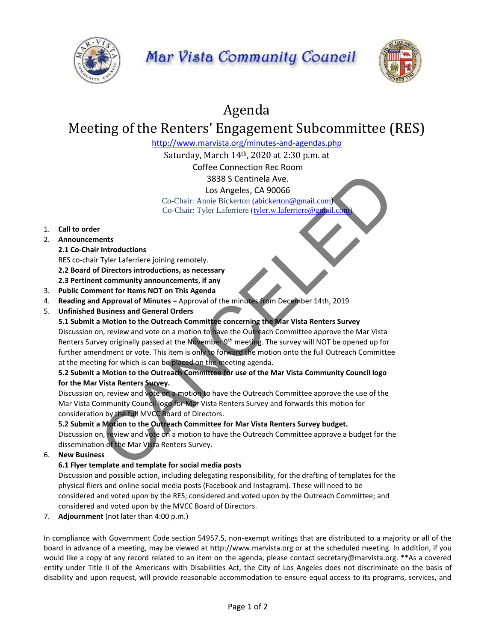



# Agenda

# Meeting of the Renters' Engagement Subcommittee (RES)

<http://www.marvista.org/minutes-and-agendas.php>

Saturday, March 14th, 2020 at 2:30 p.m. at

Coffee Connection Rec Room

3838 S Centinela Ave.

Los Angeles, CA 90066

Co-Chair: Annie Bickerton (abickerton@gmail.com) Co-Chair: Tyler Laferriere (tyler.w.laferriere@gmail.com

## 1. **Call to order**

- 2. **Announcements**
	- **2.1 Co-Chair Introductions**

RES co-chair Tyler Laferriere joining remotely. **2.2 Board of Directors introductions, as necessary 2.3 Pertinent community announcements, if any**

- 3. **Public Comment for Items NOT on This Agenda**
- 4. **Reading and Approval of Minutes –** Approval of the minutes from December 14th, 2019
- 5. **Unfinished Business and General Orders**

#### **5.1 Submit a Motion to the Outreach Committee concerning the Mar Vista Renters Survey**

Discussion on, review and vote on a motion to have the Outreach Committee approve the Mar Vista Renters Survey originally passed at the November 9<sup>th</sup> meeting. The survey will NOT be opened up for further amendment or vote. This item is only to forward the motion onto the full Outreach Committee at the meeting for which is can be placed on the meeting agenda. 3838 S Centinela Ave.<br>
Los Angeles, CA 90066<br>
Co-Chair: Annie Bickerton (abiekerton @mail.com)<br>
Co-Chair: Tyler Laferriere (<u>tyler, whalerniere@varial.com</u>)<br>
The ration community amouncements, if any<br>
forectors introductio

## **5.2 Submit a Motion to the Outreach Committee for use of the Mar Vista Community Council logo for the Mar Vista Renters Survey.**

Discussion on, review and vote on a motion to have the Outreach Committee approve the use of the Mar Vista Community Council logo for Mar Vista Renters Survey and forwards this motion for consideration by the full MVCC Board of Directors.

#### **5.2 Submit a Motion to the Outreach Committee for Mar Vista Renters Survey budget.**

Discussion on, review and vote on a motion to have the Outreach Committee approve a budget for the dissemination of the Mar Vista Renters Survey.

6. **New Business**

#### **6.1 Flyer template and template for social media posts**

Discussion and possible action, including delegating responsibility, for the drafting of templates for the physical fliers and online social media posts (Facebook and Instagram). These will need to be considered and voted upon by the RES; considered and voted upon by the Outreach Committee; and considered and voted upon by the MVCC Board of Directors.

7. **Adjournment** (not later than 4:00 p.m.)

In compliance with Government Code section 54957.5, non-exempt writings that are distributed to a majority or all of the board in advance of a meeting, may be viewed at http://www.marvista.org or at the scheduled meeting. In addition, if you would like a copy of any record related to an item on the agenda, please contact secretary@marvista.org. \*\*As a covered entity under Title II of the Americans with Disabilities Act, the City of Los Angeles does not discriminate on the basis of disability and upon request, will provide reasonable accommodation to ensure equal access to its programs, services, and